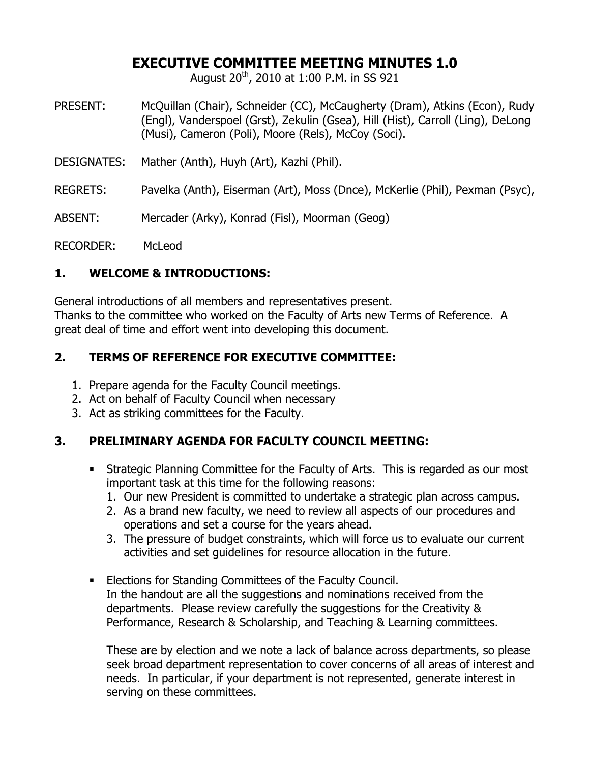## **EXECUTIVE COMMITTEE MEETING MINUTES 1.0**

August  $20^{th}$ , 2010 at 1:00 P.M. in SS 921

- PRESENT: McQuillan (Chair), Schneider (CC), McCaugherty (Dram), Atkins (Econ), Rudy (Engl), Vanderspoel (Grst), Zekulin (Gsea), Hill (Hist), Carroll (Ling), DeLong (Musi), Cameron (Poli), Moore (Rels), McCoy (Soci).
- DESIGNATES: Mather (Anth), Huyh (Art), Kazhi (Phil).
- REGRETS: Pavelka (Anth), Eiserman (Art), Moss (Dnce), McKerlie (Phil), Pexman (Psyc),
- ABSENT: Mercader (Arky), Konrad (Fisl), Moorman (Geog)

RECORDER: McLeod

### **1. WELCOME & INTRODUCTIONS:**

General introductions of all members and representatives present. Thanks to the committee who worked on the Faculty of Arts new Terms of Reference. A great deal of time and effort went into developing this document.

### **2. TERMS OF REFERENCE FOR EXECUTIVE COMMITTEE:**

- 1. Prepare agenda for the Faculty Council meetings.
- 2. Act on behalf of Faculty Council when necessary
- 3. Act as striking committees for the Faculty.

# **3. PRELIMINARY AGENDA FOR FACULTY COUNCIL MEETING:**

- Strategic Planning Committee for the Faculty of Arts. This is regarded as our most important task at this time for the following reasons:
	- 1. Our new President is committed to undertake a strategic plan across campus.
	- 2. As a brand new faculty, we need to review all aspects of our procedures and operations and set a course for the years ahead.
	- 3. The pressure of budget constraints, which will force us to evaluate our current activities and set guidelines for resource allocation in the future.
- Elections for Standing Committees of the Faculty Council. In the handout are all the suggestions and nominations received from the departments. Please review carefully the suggestions for the Creativity & Performance, Research & Scholarship, and Teaching & Learning committees.

These are by election and we note a lack of balance across departments, so please seek broad department representation to cover concerns of all areas of interest and needs. In particular, if your department is not represented, generate interest in serving on these committees.